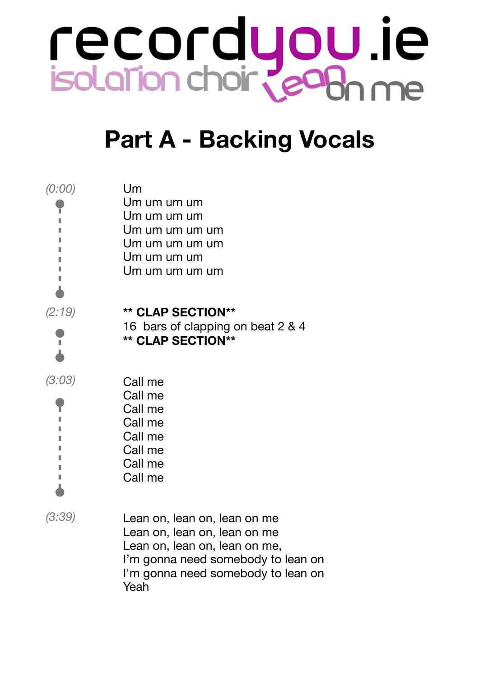# recorduou ie

### **Part A - Backing Vocals**

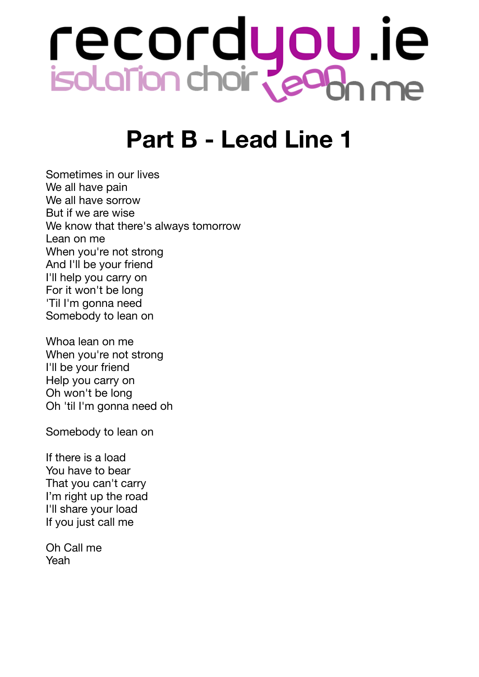# recorduou ie

#### **Part B - Lead Line 1**

Sometimes in our lives We all have pain We all have sorrow But if we are wise We know that there's always tomorrow Lean on me When you're not strong And I'll be your friend I'll help you carry on For it won't be long 'Til I'm gonna need Somebody to lean on

Whoa lean on me When you're not strong I'll be your friend Help you carry on Oh won't be long Oh 'til I'm gonna need oh

Somebody to lean on

If there is a load You have to bear That you can't carry I'm right up the road I'll share your load If you just call me

Oh Call me Yeah